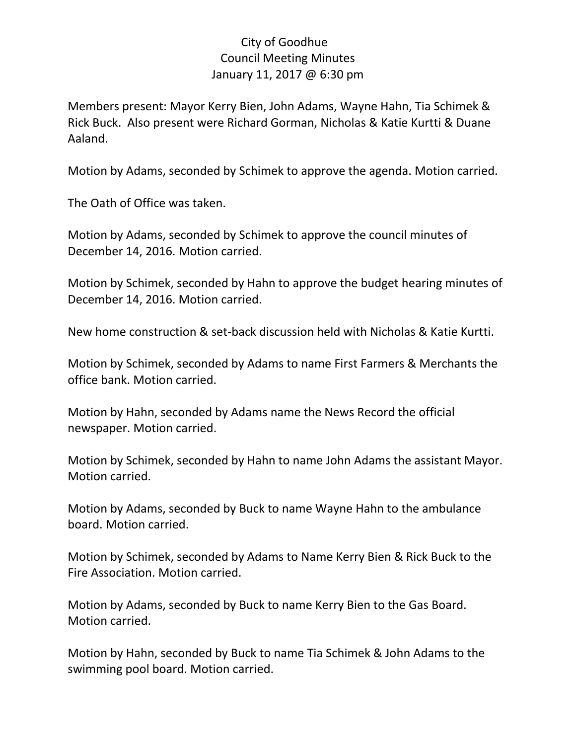## City of Goodhue Council Meeting Minutes January 11, 2017 @ 6:30 pm

Members present: Mayor Kerry Bien, John Adams, Wayne Hahn, Tia Schimek & Rick Buck. Also present were Richard Gorman, Nicholas & Katie Kurtti & Duane Aaland.

Motion by Adams, seconded by Schimek to approve the agenda. Motion carried.

The Oath of Office was taken.

Motion by Adams, seconded by Schimek to approve the council minutes of December 14, 2016. Motion carried.

Motion by Schimek, seconded by Hahn to approve the budget hearing minutes of December 14, 2016. Motion carried.

New home construction & set-back discussion held with Nicholas & Katie Kurtti.

Motion by Schimek, seconded by Adams to name First Farmers & Merchants the office bank. Motion carried.

Motion by Hahn, seconded by Adams name the News Record the official newspaper. Motion carried.

Motion by Schimek, seconded by Hahn to name John Adams the assistant Mayor. Motion carried.

Motion by Adams, seconded by Buck to name Wayne Hahn to the ambulance board. Motion carried.

Motion by Schimek, seconded by Adams to Name Kerry Bien & Rick Buck to the Fire Association. Motion carried.

Motion by Adams, seconded by Buck to name Kerry Bien to the Gas Board. Motion carried.

Motion by Hahn, seconded by Buck to name Tia Schimek & John Adams to the swimming pool board. Motion carried.